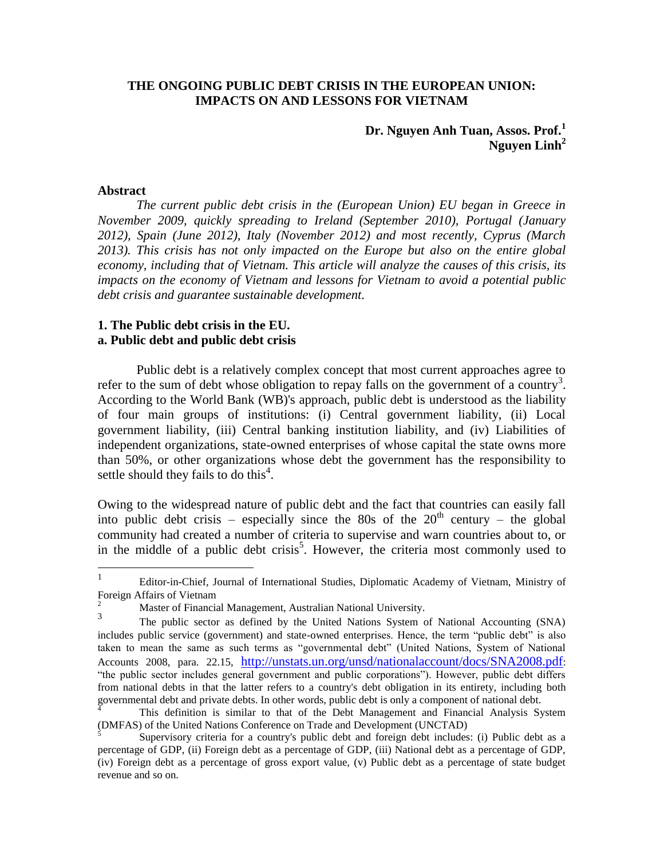## **THE ONGOING PUBLIC DEBT CRISIS IN THE EUROPEAN UNION: IMPACTS ON AND LESSONS FOR VIETNAM**

# **Dr. Nguyen Anh Tuan, Assos. Prof.<sup>1</sup> Nguyen Linh<sup>2</sup>**

### **Abstract**

*The current public debt crisis in the (European Union) EU began in Greece in November 2009, quickly spreading to Ireland (September 2010), Portugal (January 2012), Spain (June 2012), Italy (November 2012) and most recently, Cyprus (March 2013). This crisis has not only impacted on the Europe but also on the entire global economy, including that of Vietnam. This article will analyze the causes of this crisis, its impacts on the economy of Vietnam and lessons for Vietnam to avoid a potential public debt crisis and guarantee sustainable development.* 

## **1. The Public debt crisis in the EU. a. Public debt and public debt crisis**

Public debt is a relatively complex concept that most current approaches agree to refer to the sum of debt whose obligation to repay falls on the government of a country<sup>3</sup>. According to the World Bank (WB)'s approach, public debt is understood as the liability of four main groups of institutions: (i) Central government liability, (ii) Local government liability, (iii) Central banking institution liability, and (iv) Liabilities of independent organizations, state-owned enterprises of whose capital the state owns more than 50%, or other organizations whose debt the government has the responsibility to settle should they fails to do this $4$ .

Owing to the widespread nature of public debt and the fact that countries can easily fall into public debt crisis – especially since the 80s of the  $20<sup>th</sup>$  century – the global community had created a number of criteria to supervise and warn countries about to, or in the middle of a public debt crisis<sup>5</sup>. However, the criteria most commonly used to

 $\frac{1}{1}$ Editor-in-Chief, Journal of International Studies, Diplomatic Academy of Vietnam, Ministry of Foreign Affairs of Vietnam

<sup>2</sup> Master of Financial Management, Australian National University.

<sup>3</sup> The public sector as defined by the United Nations System of National Accounting (SNA) includes public service (government) and state-owned enterprises. Hence, the term "public debt" is also taken to mean the same as such terms as "governmental debt" (United Nations, System of National Accounts 2008, para. 22.15, <http://unstats.un.org/unsd/nationalaccount/docs/SNA2008.pdf>: "the public sector includes general government and public corporations"). However, public debt differs from national debts in that the latter refers to a country's debt obligation in its entirety, including both governmental debt and private debts. In other words, public debt is only a component of national debt.

<sup>4</sup> This definition is similar to that of the Debt Management and Financial Analysis System (DMFAS) of the United Nations Conference on Trade and Development (UNCTAD)

<sup>5</sup> Supervisory criteria for a country's public debt and foreign debt includes: (i) Public debt as a percentage of GDP, (ii) Foreign debt as a percentage of GDP, (iii) National debt as a percentage of GDP, (iv) Foreign debt as a percentage of gross export value, (v) Public debt as a percentage of state budget revenue and so on.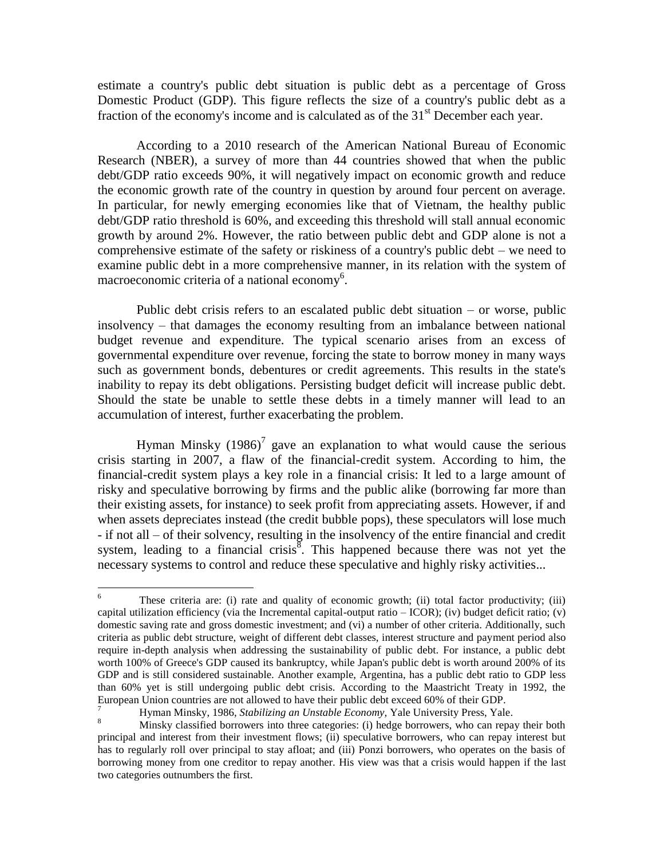estimate a country's public debt situation is public debt as a percentage of Gross Domestic Product (GDP). This figure reflects the size of a country's public debt as a fraction of the economy's income and is calculated as of the  $31<sup>st</sup>$  December each year.

 According to a 2010 research of the American National Bureau of Economic Research (NBER), a survey of more than 44 countries showed that when the public debt/GDP ratio exceeds 90%, it will negatively impact on economic growth and reduce the economic growth rate of the country in question by around four percent on average. In particular, for newly emerging economies like that of Vietnam, the healthy public debt/GDP ratio threshold is 60%, and exceeding this threshold will stall annual economic growth by around 2%. However, the ratio between public debt and GDP alone is not a comprehensive estimate of the safety or riskiness of a country's public debt – we need to examine public debt in a more comprehensive manner, in its relation with the system of macroeconomic criteria of a national economy<sup>6</sup>.

Public debt crisis refers to an escalated public debt situation – or worse, public insolvency – that damages the economy resulting from an imbalance between national budget revenue and expenditure. The typical scenario arises from an excess of governmental expenditure over revenue, forcing the state to borrow money in many ways such as government bonds, debentures or credit agreements. This results in the state's inability to repay its debt obligations. Persisting budget deficit will increase public debt. Should the state be unable to settle these debts in a timely manner will lead to an accumulation of interest, further exacerbating the problem.

Hyman Minsky  $(1986)^7$  gave an explanation to what would cause the serious crisis starting in 2007, a flaw of the financial-credit system. According to him, the financial-credit system plays a key role in a financial crisis: It led to a large amount of risky and speculative borrowing by firms and the public alike (borrowing far more than their existing assets, for instance) to seek profit from appreciating assets. However, if and when assets depreciates instead (the credit bubble pops), these speculators will lose much - if not all – of their solvency, resulting in the insolvency of the entire financial and credit system, leading to a financial crisis<sup>8</sup>. This happened because there was not yet the necessary systems to control and reduce these speculative and highly risky activities...

 $\sqrt{6}$ These criteria are: (i) rate and quality of economic growth; (ii) total factor productivity; (iii) capital utilization efficiency (via the Incremental capital-output ratio – ICOR); (iv) budget deficit ratio; (v) domestic saving rate and gross domestic investment; and (vi) a number of other criteria. Additionally, such criteria as public debt structure, weight of different debt classes, interest structure and payment period also require in-depth analysis when addressing the sustainability of public debt. For instance, a public debt worth 100% of Greece's GDP caused its bankruptcy, while Japan's public debt is worth around 200% of its GDP and is still considered sustainable. Another example, Argentina, has a public debt ratio to GDP less than 60% yet is still undergoing public debt crisis. According to the Maastricht Treaty in 1992, the European Union countries are not allowed to have their public debt exceed 60% of their GDP.

<sup>7</sup> Hyman Minsky, 1986, *Stabilizing an Unstable Economy,* Yale University Press, Yale.

<sup>8</sup> Minsky classified borrowers into three categories: (i) hedge borrowers, who can repay their both principal and interest from their investment flows; (ii) speculative borrowers, who can repay interest but has to regularly roll over principal to stay afloat; and (iii) Ponzi borrowers, who operates on the basis of borrowing money from one creditor to repay another. His view was that a crisis would happen if the last two categories outnumbers the first.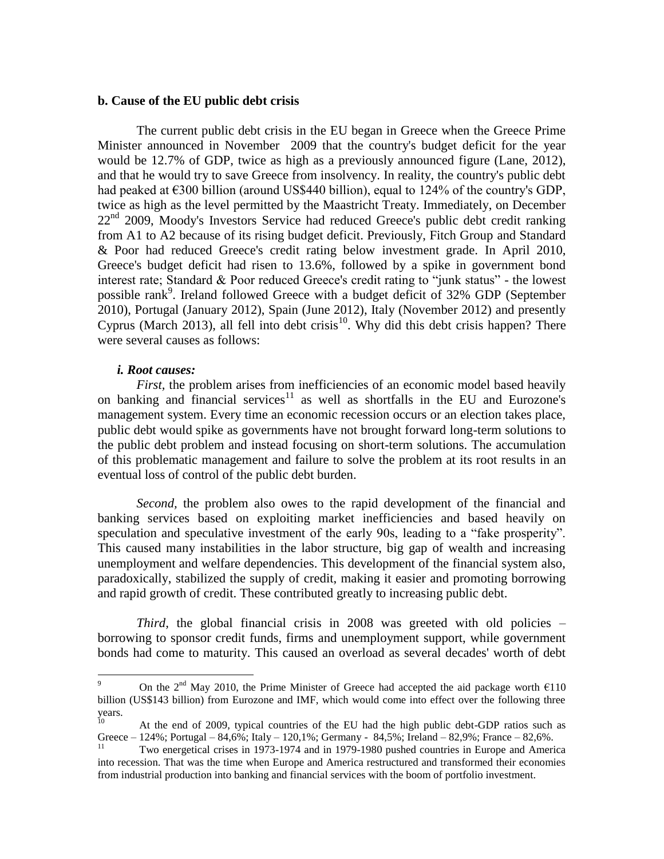### **b. Cause of the EU public debt crisis**

The current public debt crisis in the EU began in Greece when the Greece Prime Minister announced in November 2009 that the country's budget deficit for the year would be 12.7% of GDP, twice as high as a previously announced figure (Lane, 2012), and that he would try to save Greece from insolvency. In reality, the country's public debt had peaked at  $\epsilon$ 300 billion (around US\$440 billion), equal to 124% of the country's GDP, twice as high as the level permitted by the Maastricht Treaty. Immediately, on December  $22<sup>nd</sup>$  2009, Moody's Investors Service had reduced Greece's public debt credit ranking from A1 to A2 because of its rising budget deficit. Previously, Fitch Group and Standard & Poor had reduced Greece's credit rating below investment grade. In April 2010, Greece's budget deficit had risen to 13.6%, followed by a spike in government bond interest rate; Standard & Poor reduced Greece's credit rating to "junk status" - the lowest possible rank<sup>9</sup>. Ireland followed Greece with a budget deficit of 32% GDP (September 2010), Portugal (January 2012), Spain (June 2012), Italy (November 2012) and presently Cyprus (March 2013), all fell into debt crisis<sup>10</sup>. Why did this debt crisis happen? There were several causes as follows:

#### *i. Root causes:*

 $\overline{a}$ 

*First,* the problem arises from inefficiencies of an economic model based heavily on banking and financial services<sup>11</sup> as well as shortfalls in the EU and Eurozone's management system. Every time an economic recession occurs or an election takes place, public debt would spike as governments have not brought forward long-term solutions to the public debt problem and instead focusing on short-term solutions. The accumulation of this problematic management and failure to solve the problem at its root results in an eventual loss of control of the public debt burden.

*Second,* the problem also owes to the rapid development of the financial and banking services based on exploiting market inefficiencies and based heavily on speculation and speculative investment of the early 90s, leading to a "fake prosperity". This caused many instabilities in the labor structure, big gap of wealth and increasing unemployment and welfare dependencies. This development of the financial system also, paradoxically, stabilized the supply of credit, making it easier and promoting borrowing and rapid growth of credit. These contributed greatly to increasing public debt.

*Third*, the global financial crisis in 2008 was greeted with old policies – borrowing to sponsor credit funds, firms and unemployment support, while government bonds had come to maturity. This caused an overload as several decades' worth of debt

<sup>9</sup> On the 2<sup>nd</sup> May 2010, the Prime Minister of Greece had accepted the aid package worth  $\epsilon$ 110 billion (US\$143 billion) from Eurozone and IMF, which would come into effect over the following three years.

<sup>10</sup> At the end of 2009, typical countries of the EU had the high public debt-GDP ratios such as Greece –  $124\%$ ; Portugal –  $84,6\%$ ; Italy –  $120,1\%$ ; Germany -  $84,5\%$ ; Ireland –  $82,9\%$ ; France –  $82,6\%$ .

<sup>11</sup> Two energetical crises in 1973-1974 and in 1979-1980 pushed countries in Europe and America into recession. That was the time when Europe and America restructured and transformed their economies from industrial production into banking and financial services with the boom of portfolio investment.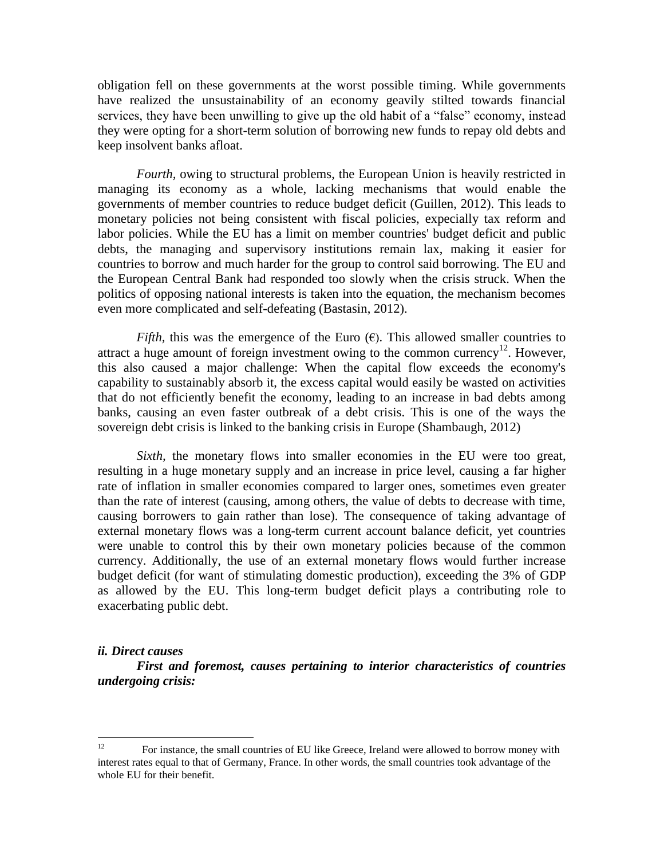obligation fell on these governments at the worst possible timing. While governments have realized the unsustainability of an economy geavily stilted towards financial services, they have been unwilling to give up the old habit of a "false" economy, instead they were opting for a short-term solution of borrowing new funds to repay old debts and keep insolvent banks afloat.

*Fourth,* owing to structural problems, the European Union is heavily restricted in managing its economy as a whole, lacking mechanisms that would enable the governments of member countries to reduce budget deficit (Guillen, 2012). This leads to monetary policies not being consistent with fiscal policies, expecially tax reform and labor policies. While the EU has a limit on member countries' budget deficit and public debts, the managing and supervisory institutions remain lax, making it easier for countries to borrow and much harder for the group to control said borrowing. The EU and the European Central Bank had responded too slowly when the crisis struck. When the politics of opposing national interests is taken into the equation, the mechanism becomes even more complicated and self-defeating (Bastasin, 2012).

*Fifth*, this was the emergence of the Euro  $(\epsilon)$ . This allowed smaller countries to attract a huge amount of foreign investment owing to the common currency<sup>12</sup>. However, this also caused a major challenge: When the capital flow exceeds the economy's capability to sustainably absorb it, the excess capital would easily be wasted on activities that do not efficiently benefit the economy, leading to an increase in bad debts among banks, causing an even faster outbreak of a debt crisis. This is one of the ways the sovereign debt crisis is linked to the banking crisis in Europe (Shambaugh, 2012)

*Sixth*, the monetary flows into smaller economies in the EU were too great, resulting in a huge monetary supply and an increase in price level, causing a far higher rate of inflation in smaller economies compared to larger ones, sometimes even greater than the rate of interest (causing, among others, the value of debts to decrease with time, causing borrowers to gain rather than lose). The consequence of taking advantage of external monetary flows was a long-term current account balance deficit, yet countries were unable to control this by their own monetary policies because of the common currency. Additionally, the use of an external monetary flows would further increase budget deficit (for want of stimulating domestic production), exceeding the 3% of GDP as allowed by the EU. This long-term budget deficit plays a contributing role to exacerbating public debt.

#### *ii. Direct causes*

*First and foremost, causes pertaining to interior characteristics of countries undergoing crisis:*

<sup>&</sup>lt;sup>12</sup> For instance, the small countries of EU like Greece, Ireland were allowed to borrow money with interest rates equal to that of Germany, France. In other words, the small countries took advantage of the whole EU for their benefit.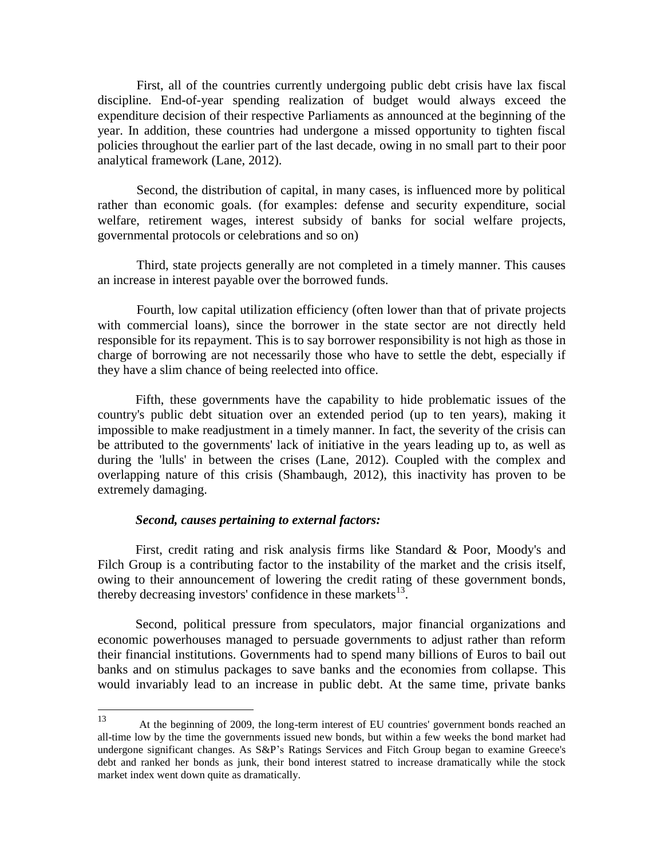First, all of the countries currently undergoing public debt crisis have lax fiscal discipline. End-of-year spending realization of budget would always exceed the expenditure decision of their respective Parliaments as announced at the beginning of the year. In addition, these countries had undergone a missed opportunity to tighten fiscal policies throughout the earlier part of the last decade, owing in no small part to their poor analytical framework (Lane, 2012).

Second, the distribution of capital, in many cases, is influenced more by political rather than economic goals. (for examples: defense and security expenditure, social welfare, retirement wages, interest subsidy of banks for social welfare projects, governmental protocols or celebrations and so on)

Third, state projects generally are not completed in a timely manner. This causes an increase in interest payable over the borrowed funds.

Fourth, low capital utilization efficiency (often lower than that of private projects with commercial loans), since the borrower in the state sector are not directly held responsible for its repayment. This is to say borrower responsibility is not high as those in charge of borrowing are not necessarily those who have to settle the debt, especially if they have a slim chance of being reelected into office.

Fifth, these governments have the capability to hide problematic issues of the country's public debt situation over an extended period (up to ten years), making it impossible to make readjustment in a timely manner. In fact, the severity of the crisis can be attributed to the governments' lack of initiative in the years leading up to, as well as during the 'lulls' in between the crises (Lane, 2012). Coupled with the complex and overlapping nature of this crisis (Shambaugh, 2012), this inactivity has proven to be extremely damaging.

# *Second, causes pertaining to external factors:*

First, credit rating and risk analysis firms like Standard & Poor, Moody's and Filch Group is a contributing factor to the instability of the market and the crisis itself, owing to their announcement of lowering the credit rating of these government bonds, thereby decreasing investors' confidence in these markets $^{13}$ .

Second, political pressure from speculators, major financial organizations and economic powerhouses managed to persuade governments to adjust rather than reform their financial institutions. Governments had to spend many billions of Euros to bail out banks and on stimulus packages to save banks and the economies from collapse. This would invariably lead to an increase in public debt. At the same time, private banks

<sup>13</sup> <sup>13</sup> At the beginning of 2009, the long-term interest of EU countries' government bonds reached an all-time low by the time the governments issued new bonds, but within a few weeks the bond market had undergone significant changes. As S&P's Ratings Services and Fitch Group began to examine Greece's debt and ranked her bonds as junk, their bond interest statred to increase dramatically while the stock market index went down quite as dramatically.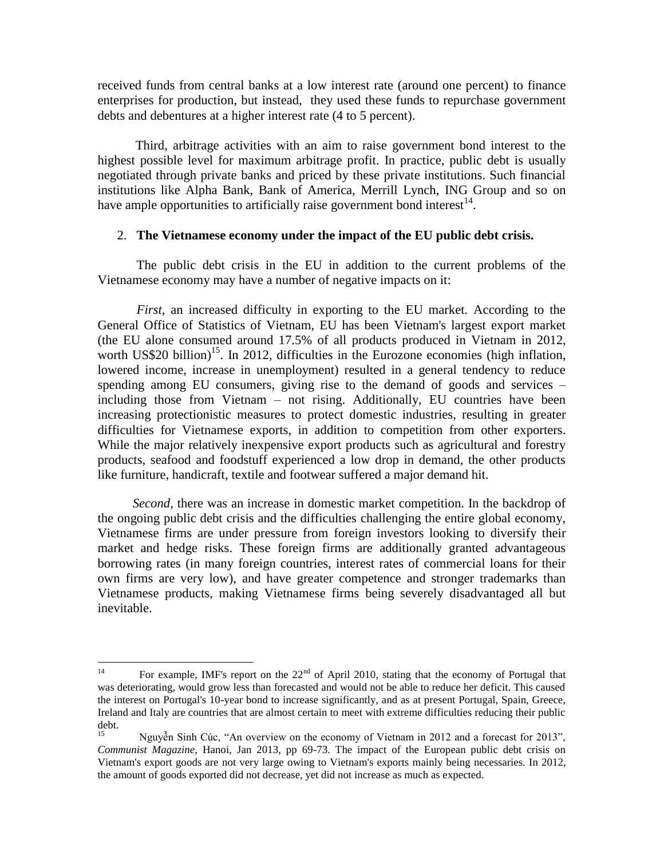received funds from central banks at a low interest rate (around one percent) to finance enterprises for production, but instead, they used these funds to repurchase government debts and debentures at a higher interest rate (4 to 5 percent).

Third, arbitrage activities with an aim to raise government bond interest to the highest possible level for maximum arbitrage profit. In practice, public debt is usually negotiated through private banks and priced by these private institutions. Such financial institutions like Alpha Bank, Bank of America, Merrill Lynch, ING Group and so on have ample opportunities to artificially raise government bond interest $14$ .

## 2. **The Vietnamese economy under the impact of the EU public debt crisis.**

The public debt crisis in the EU in addition to the current problems of the Vietnamese economy may have a number of negative impacts on it:

*First,* an increased difficulty in exporting to the EU market. According to the General Office of Statistics of Vietnam, EU has been Vietnam's largest export market (the EU alone consumed around 17.5% of all products produced in Vietnam in 2012, worth US\$20 billion)<sup>15</sup>. In 2012, difficulties in the Eurozone economies (high inflation, lowered income, increase in unemployment) resulted in a general tendency to reduce spending among EU consumers, giving rise to the demand of goods and services – including those from Vietnam – not rising. Additionally, EU countries have been increasing protectionistic measures to protect domestic industries, resulting in greater difficulties for Vietnamese exports, in addition to competition from other exporters. While the major relatively inexpensive export products such as agricultural and forestry products, seafood and foodstuff experienced a low drop in demand, the other products like furniture, handicraft, textile and footwear suffered a major demand hit.

*Second,* there was an increase in domestic market competition. In the backdrop of the ongoing public debt crisis and the difficulties challenging the entire global economy, Vietnamese firms are under pressure from foreign investors looking to diversify their market and hedge risks. These foreign firms are additionally granted advantageous borrowing rates (in many foreign countries, interest rates of commercial loans for their own firms are very low), and have greater competence and stronger trademarks than Vietnamese products, making Vietnamese firms being severely disadvantaged all but inevitable.

 $14<sup>1</sup>$ For example, IMF's report on the  $22<sup>nd</sup>$  of April 2010, stating that the economy of Portugal that was deteriorating, would grow less than forecasted and would not be able to reduce her deficit. This caused the interest on Portugal's 10-year bond to increase significantly, and as at present Portugal, Spain, Greece, Ireland and Italy are countries that are almost certain to meet with extreme difficulties reducing their public debt.

Nguyễn Sinh Cúc, "An overview on the economy of Vietnam in 2012 and a forecast for 2013", *Communist Magazine*, Hanoi, Jan 2013, pp 69-73. The impact of the European public debt crisis on Vietnam's export goods are not very large owing to Vietnam's exports mainly being necessaries. In 2012, the amount of goods exported did not decrease, yet did not increase as much as expected.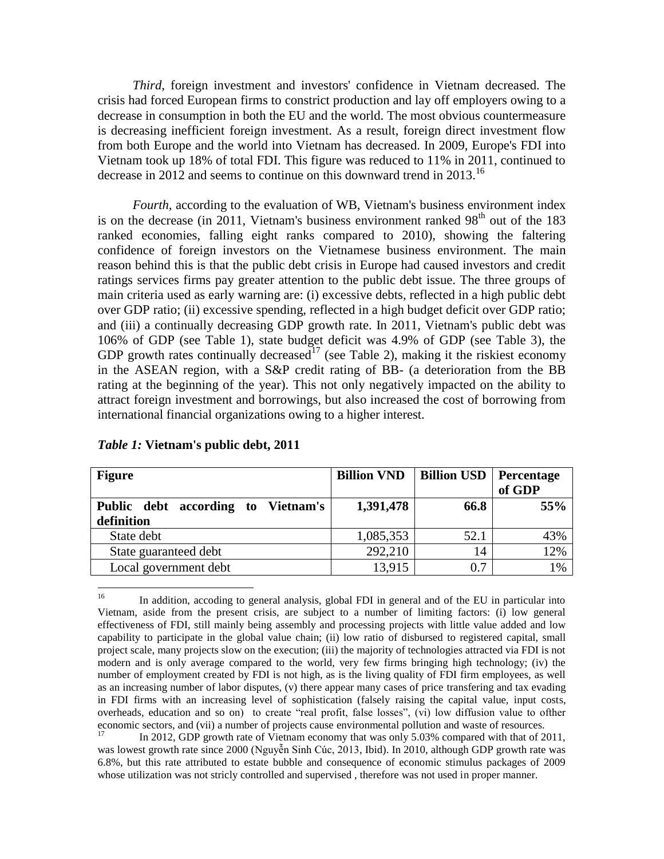*Third,* foreign investment and investors' confidence in Vietnam decreased. The crisis had forced European firms to constrict production and lay off employers owing to a decrease in consumption in both the EU and the world. The most obvious countermeasure is decreasing inefficient foreign investment. As a result, foreign direct investment flow from both Europe and the world into Vietnam has decreased. In 2009, Europe's FDI into Vietnam took up 18% of total FDI. This figure was reduced to 11% in 2011, continued to decrease in 2012 and seems to continue on this downward trend in 2013.<sup>16</sup>

*Fourth,* according to the evaluation of WB, Vietnam's business environment index is on the decrease (in 2011, Vietnam's business environment ranked  $98<sup>th</sup>$  out of the 183 ranked economies, falling eight ranks compared to 2010), showing the faltering confidence of foreign investors on the Vietnamese business environment. The main reason behind this is that the public debt crisis in Europe had caused investors and credit ratings services firms pay greater attention to the public debt issue. The three groups of main criteria used as early warning are: (i) excessive debts, reflected in a high public debt over GDP ratio; (ii) excessive spending, reflected in a high budget deficit over GDP ratio; and (iii) a continually decreasing GDP growth rate. In 2011, Vietnam's public debt was 106% of GDP (see Table 1), state budget deficit was 4.9% of GDP (see Table 3), the GDP growth rates continually decreased<sup>17</sup> (see Table 2), making it the riskiest economy in the ASEAN region, with a S&P credit rating of BB- (a deterioration from the BB rating at the beginning of the year). This not only negatively impacted on the ability to attract foreign investment and borrowings, but also increased the cost of borrowing from international financial organizations owing to a higher interest.

| <b>Figure</b>                      | <b>Billion VND</b> | <b>Billion USD</b>   Percentage | of GDP |
|------------------------------------|--------------------|---------------------------------|--------|
| Public debt according to Vietnam's | 1,391,478          | 66.8                            | 55%    |
| definition                         |                    |                                 |        |
| State debt                         | 1,085,353          | 52.1                            | 43%    |
| State guaranteed debt              | 292,210            | 14                              | 12%    |
| Local government debt              | 13,915             | 0.7                             | 1%     |

*Table 1:* **Vietnam's public debt, 2011**

<sup>16</sup> <sup>16</sup> In addition, accoding to general analysis, global FDI in general and of the EU in particular into Vietnam, aside from the present crisis, are subject to a number of limiting factors: (i) low general effectiveness of FDI, still mainly being assembly and processing projects with little value added and low capability to participate in the global value chain; (ii) low ratio of disbursed to registered capital, small project scale, many projects slow on the execution; (iii) the majority of technologies attracted via FDI is not modern and is only average compared to the world, very few firms bringing high technology; (iv) the number of employment created by FDI is not high, as is the living quality of FDI firm employees, as well as an increasing number of labor disputes, (v) there appear many cases of price transfering and tax evading in FDI firms with an increasing level of sophistication (falsely raising the capital value, input costs, overheads, education and so on) to create "real profit, false losses", (vi) low diffusion value to ofther economic sectors, and (vii) a number of projects cause environmental pollution and waste of resources.

<sup>17</sup> In 2012, GDP growth rate of Vietnam economy that was only 5.03% compared with that of 2011, was lowest growth rate since 2000 (Nguyễn Sinh Cúc, 2013, Ibid). In 2010, although GDP growth rate was 6.8%, but this rate attributed to estate bubble and consequence of economic stimulus packages of 2009 whose utilization was not stricly controlled and supervised , therefore was not used in proper manner.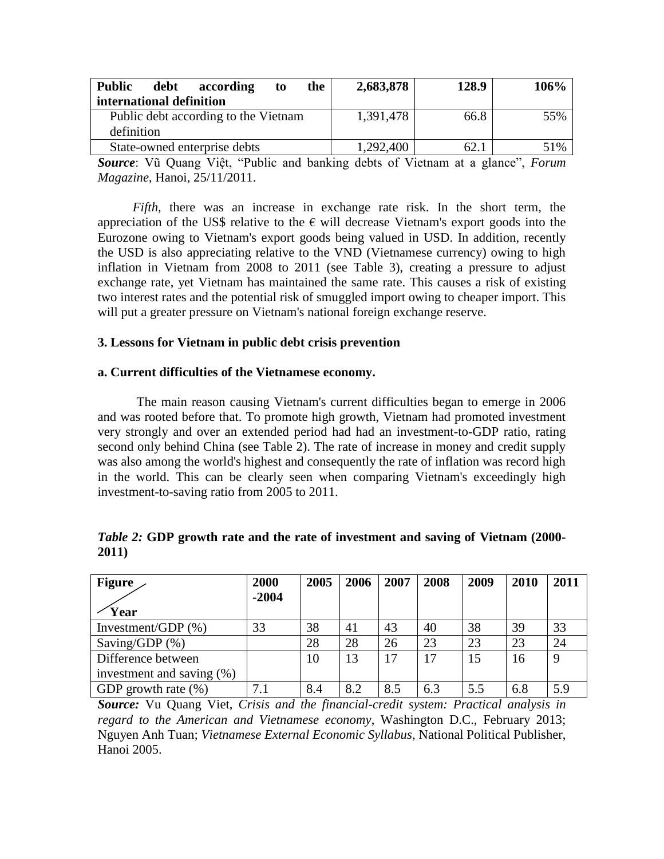| <b>Public</b><br>according<br>debt<br>the<br>to | 2,683,878 | 128.9 | 106% |
|-------------------------------------------------|-----------|-------|------|
| international definition                        |           |       |      |
| Public debt according to the Vietnam            | 1,391,478 | 66.8  | 55%  |
| definition                                      |           |       |      |
| State-owned enterprise debts                    | 1,292,400 | 62.1  | 51%  |

*Source*: Vũ Quang Việt, "Public and banking debts of Vietnam at a glance", *Forum Magazine*, Hanoi, 25/11/2011.

*Fifth,* there was an increase in exchange rate risk. In the short term, the appreciation of the US\$ relative to the  $\epsilon$  will decrease Vietnam's export goods into the Eurozone owing to Vietnam's export goods being valued in USD. In addition, recently the USD is also appreciating relative to the VND (Vietnamese currency) owing to high inflation in Vietnam from 2008 to 2011 (see Table 3), creating a pressure to adjust exchange rate, yet Vietnam has maintained the same rate. This causes a risk of existing two interest rates and the potential risk of smuggled import owing to cheaper import. This will put a greater pressure on Vietnam's national foreign exchange reserve.

# **3. Lessons for Vietnam in public debt crisis prevention**

# **a. Current difficulties of the Vietnamese economy.**

The main reason causing Vietnam's current difficulties began to emerge in 2006 and was rooted before that. To promote high growth, Vietnam had promoted investment very strongly and over an extended period had had an investment-to-GDP ratio, rating second only behind China (see Table 2). The rate of increase in money and credit supply was also among the world's highest and consequently the rate of inflation was record high in the world. This can be clearly seen when comparing Vietnam's exceedingly high investment-to-saving ratio from 2005 to 2011.

|       | <i>Table 2:</i> GDP growth rate and the rate of investment and saving of Vietnam (2000- |  |
|-------|-----------------------------------------------------------------------------------------|--|
| 2011) |                                                                                         |  |

| <b>Figure</b>                | 2000    | 2005 | 2006 | 2007 | 2008 | 2009 | 2010 | 2011 |
|------------------------------|---------|------|------|------|------|------|------|------|
|                              | $-2004$ |      |      |      |      |      |      |      |
| Year                         |         |      |      |      |      |      |      |      |
| Investment/GDP $(\%)$        | 33      | 38   | 41   | 43   | 40   | 38   | 39   | 33   |
| Saving/GDP $(\%)$            |         | 28   | 28   | 26   | 23   | 23   | 23   | 24   |
| Difference between           |         | 10   | 13   |      | 17   | 15   | 16   | 9    |
| investment and saving $(\%)$ |         |      |      |      |      |      |      |      |
| GDP growth rate $(\% )$      |         | 8.4  | 8.2  | 8.5  | 6.3  | 5.5  | 6.8  | 5.9  |

*Source:* Vu Quang Viet, *Crisis and the financial-credit system: Practical analysis in regard to the American and Vietnamese economy*, Washington D.C., February 2013; Nguyen Anh Tuan; *Vietnamese External Economic Syllabus*, National Political Publisher, Hanoi 2005.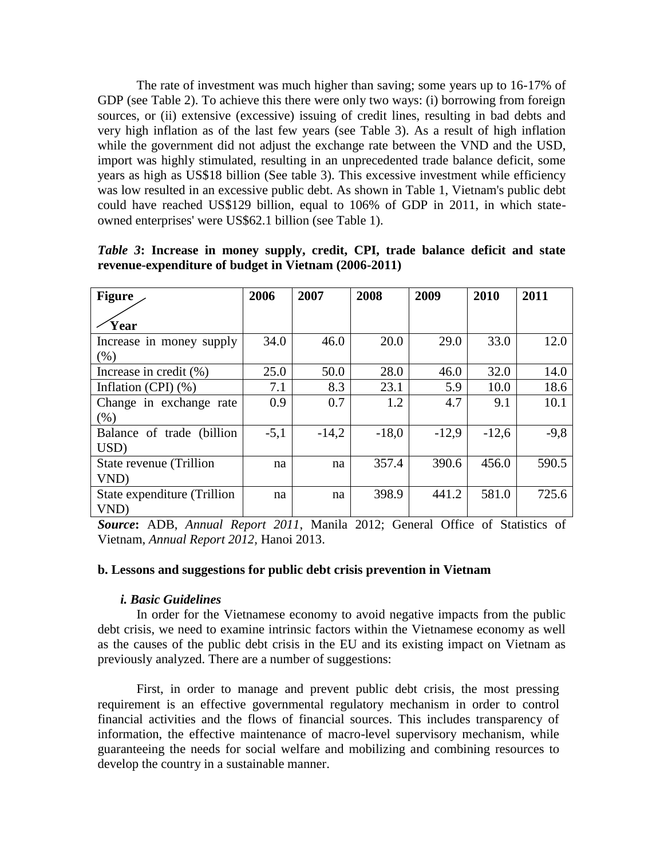The rate of investment was much higher than saving; some years up to 16-17% of GDP (see Table 2). To achieve this there were only two ways: (i) borrowing from foreign sources, or (ii) extensive (excessive) issuing of credit lines, resulting in bad debts and very high inflation as of the last few years (see Table 3). As a result of high inflation while the government did not adjust the exchange rate between the VND and the USD, import was highly stimulated, resulting in an unprecedented trade balance deficit, some years as high as US\$18 billion (See table 3). This excessive investment while efficiency was low resulted in an excessive public debt. As shown in Table 1, Vietnam's public debt could have reached US\$129 billion, equal to 106% of GDP in 2011, in which stateowned enterprises' were US\$62.1 billion (see Table 1).

| <b>Figure</b>                       | 2006   | 2007    | 2008    | 2009    | 2010    | 2011   |
|-------------------------------------|--------|---------|---------|---------|---------|--------|
| Year                                |        |         |         |         |         |        |
| Increase in money supply            | 34.0   | 46.0    | 20.0    | 29.0    | 33.0    | 12.0   |
| (% )                                |        |         |         |         |         |        |
| Increase in credit $(\% )$          | 25.0   | 50.0    | 28.0    | 46.0    | 32.0    | 14.0   |
| Inflation (CPI) $(\% )$             | 7.1    | 8.3     | 23.1    | 5.9     | 10.0    | 18.6   |
| Change in exchange rate             | 0.9    | 0.7     | 1.2     | 4.7     | 9.1     | 10.1   |
| (% )                                |        |         |         |         |         |        |
| Balance of trade (billion           | $-5,1$ | $-14,2$ | $-18,0$ | $-12,9$ | $-12.6$ | $-9,8$ |
| USD)                                |        |         |         |         |         |        |
| State revenue (Trillion             | na     | na      | 357.4   | 390.6   | 456.0   | 590.5  |
| VND)                                |        |         |         |         |         |        |
| State expenditure (Trillion<br>VND) | na     | na      | 398.9   | 441.2   | 581.0   | 725.6  |

*Table 3***: Increase in money supply, credit, CPI, trade balance deficit and state revenue-expenditure of budget in Vietnam (2006-2011)**

*Source***:** ADB, *Annual Report 2011*, Manila 2012; General Office of Statistics of Vietnam, *Annual Report 2012,* Hanoi 2013.

## **b. Lessons and suggestions for public debt crisis prevention in Vietnam**

#### *i. Basic Guidelines*

In order for the Vietnamese economy to avoid negative impacts from the public debt crisis, we need to examine intrinsic factors within the Vietnamese economy as well as the causes of the public debt crisis in the EU and its existing impact on Vietnam as previously analyzed. There are a number of suggestions:

First, in order to manage and prevent public debt crisis, the most pressing requirement is an effective governmental regulatory mechanism in order to control financial activities and the flows of financial sources. This includes transparency of information, the effective maintenance of macro-level supervisory mechanism, while guaranteeing the needs for social welfare and mobilizing and combining resources to develop the country in a sustainable manner.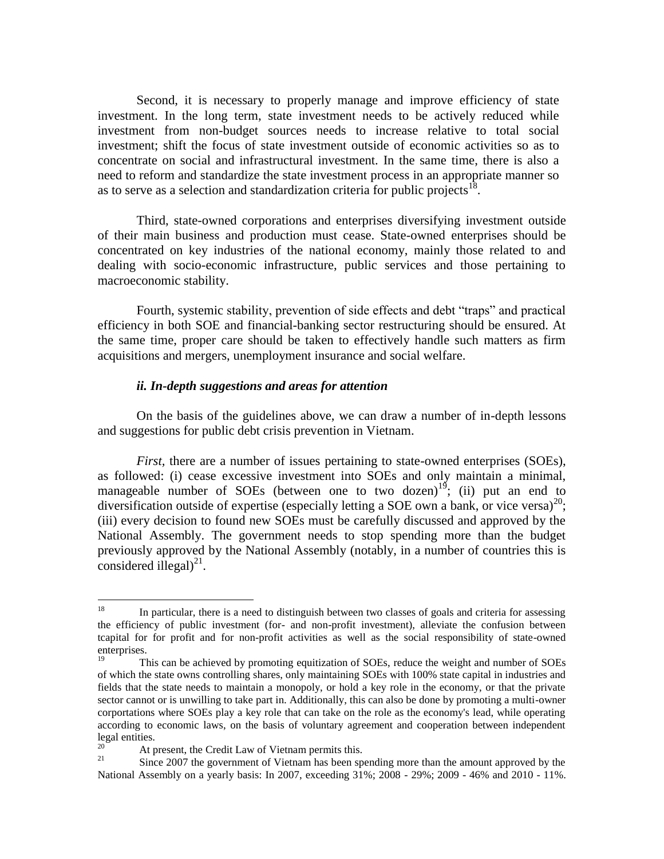Second, it is necessary to properly manage and improve efficiency of state investment. In the long term, state investment needs to be actively reduced while investment from non-budget sources needs to increase relative to total social investment; shift the focus of state investment outside of economic activities so as to concentrate on social and infrastructural investment. In the same time, there is also a need to reform and standardize the state investment process in an appropriate manner so as to serve as a selection and standardization criteria for public projects<sup>18</sup>.

Third, state-owned corporations and enterprises diversifying investment outside of their main business and production must cease. State-owned enterprises should be concentrated on key industries of the national economy, mainly those related to and dealing with socio-economic infrastructure, public services and those pertaining to macroeconomic stability.

Fourth, systemic stability, prevention of side effects and debt "traps" and practical efficiency in both SOE and financial-banking sector restructuring should be ensured. At the same time, proper care should be taken to effectively handle such matters as firm acquisitions and mergers, unemployment insurance and social welfare.

#### *ii. In-depth suggestions and areas for attention*

On the basis of the guidelines above, we can draw a number of in-depth lessons and suggestions for public debt crisis prevention in Vietnam.

*First*, there are a number of issues pertaining to state-owned enterprises (SOEs), as followed: (i) cease excessive investment into SOEs and only maintain a minimal, manageable number of SOEs (between one to two dozen)<sup>19</sup>; (ii) put an end to diversification outside of expertise (especially letting a SOE own a bank, or vice versa)<sup>20</sup>; (iii) every decision to found new SOEs must be carefully discussed and approved by the National Assembly. The government needs to stop spending more than the budget previously approved by the National Assembly (notably, in a number of countries this is considered illegal $)^{21}$ .

<sup>18</sup> In particular, there is a need to distinguish between two classes of goals and criteria for assessing the efficiency of public investment (for- and non-profit investment), alleviate the confusion between tcapital for for profit and for non-profit activities as well as the social responsibility of state-owned enterprises.

<sup>19</sup> This can be achieved by promoting equitization of SOEs, reduce the weight and number of SOEs of which the state owns controlling shares, only maintaining SOEs with 100% state capital in industries and fields that the state needs to maintain a monopoly, or hold a key role in the economy, or that the private sector cannot or is unwilling to take part in. Additionally, this can also be done by promoting a multi-owner corportations where SOEs play a key role that can take on the role as the economy's lead, while operating according to economic laws, on the basis of voluntary agreement and cooperation between independent legal entities.

<sup>&</sup>lt;sup>20</sup> At present, the Credit Law of Vietnam permits this.<br><sup>21</sup> Since 2007 the government of Vietnam has been an

<sup>21</sup> Since 2007 the government of Vietnam has been spending more than the amount approved by the National Assembly on a yearly basis: In 2007, exceeding 31%; 2008 - 29%; 2009 - 46% and 2010 - 11%.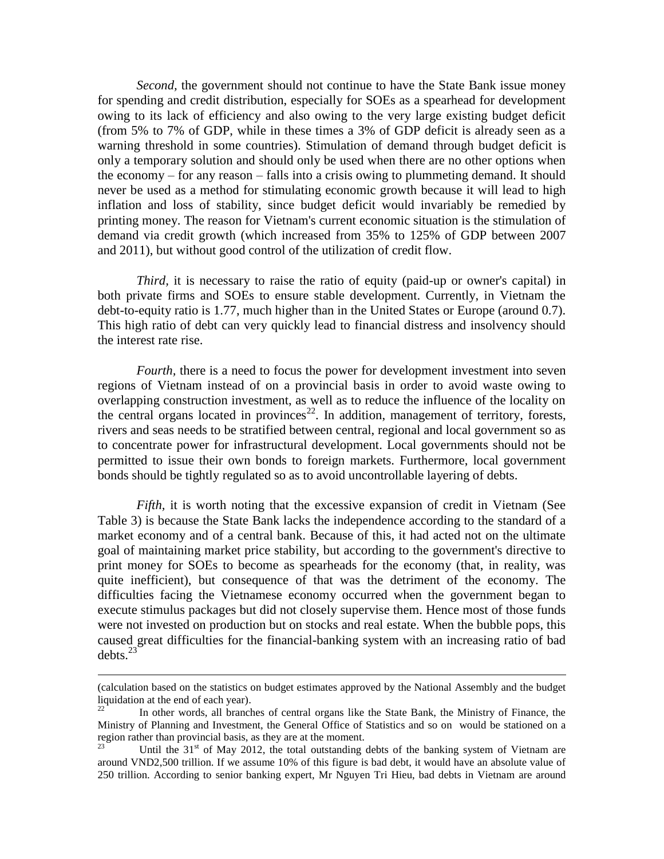*Second,* the government should not continue to have the State Bank issue money for spending and credit distribution, especially for SOEs as a spearhead for development owing to its lack of efficiency and also owing to the very large existing budget deficit (from 5% to 7% of GDP, while in these times a 3% of GDP deficit is already seen as a warning threshold in some countries). Stimulation of demand through budget deficit is only a temporary solution and should only be used when there are no other options when the economy – for any reason – falls into a crisis owing to plummeting demand. It should never be used as a method for stimulating economic growth because it will lead to high inflation and loss of stability, since budget deficit would invariably be remedied by printing money. The reason for Vietnam's current economic situation is the stimulation of demand via credit growth (which increased from 35% to 125% of GDP between 2007 and 2011), but without good control of the utilization of credit flow.

*Third,* it is necessary to raise the ratio of equity (paid-up or owner's capital) in both private firms and SOEs to ensure stable development. Currently, in Vietnam the debt-to-equity ratio is 1.77, much higher than in the United States or Europe (around 0.7). This high ratio of debt can very quickly lead to financial distress and insolvency should the interest rate rise.

*Fourth*, there is a need to focus the power for development investment into seven regions of Vietnam instead of on a provincial basis in order to avoid waste owing to overlapping construction investment, as well as to reduce the influence of the locality on the central organs located in provinces<sup>22</sup>. In addition, management of territory, forests, rivers and seas needs to be stratified between central, regional and local government so as to concentrate power for infrastructural development. Local governments should not be permitted to issue their own bonds to foreign markets. Furthermore, local government bonds should be tightly regulated so as to avoid uncontrollable layering of debts.

*Fifth,* it is worth noting that the excessive expansion of credit in Vietnam (See Table 3) is because the State Bank lacks the independence according to the standard of a market economy and of a central bank. Because of this, it had acted not on the ultimate goal of maintaining market price stability, but according to the government's directive to print money for SOEs to become as spearheads for the economy (that, in reality, was quite inefficient), but consequence of that was the detriment of the economy. The difficulties facing the Vietnamese economy occurred when the government began to execute stimulus packages but did not closely supervise them. Hence most of those funds were not invested on production but on stocks and real estate. When the bubble pops, this caused great difficulties for the financial-banking system with an increasing ratio of bad debts. $23$ 

 $\overline{a}$ 

<sup>(</sup>calculation based on the statistics on budget estimates approved by the National Assembly and the budget liquidation at the end of each year).

In other words, all branches of central organs like the State Bank, the Ministry of Finance, the Ministry of Planning and Investment, the General Office of Statistics and so on would be stationed on a region rather than provincial basis, as they are at the moment.

Until the  $31<sup>st</sup>$  of May 2012, the total outstanding debts of the banking system of Vietnam are around VND2,500 trillion. If we assume 10% of this figure is bad debt, it would have an absolute value of 250 trillion. According to senior banking expert, Mr Nguyen Tri Hieu, bad debts in Vietnam are around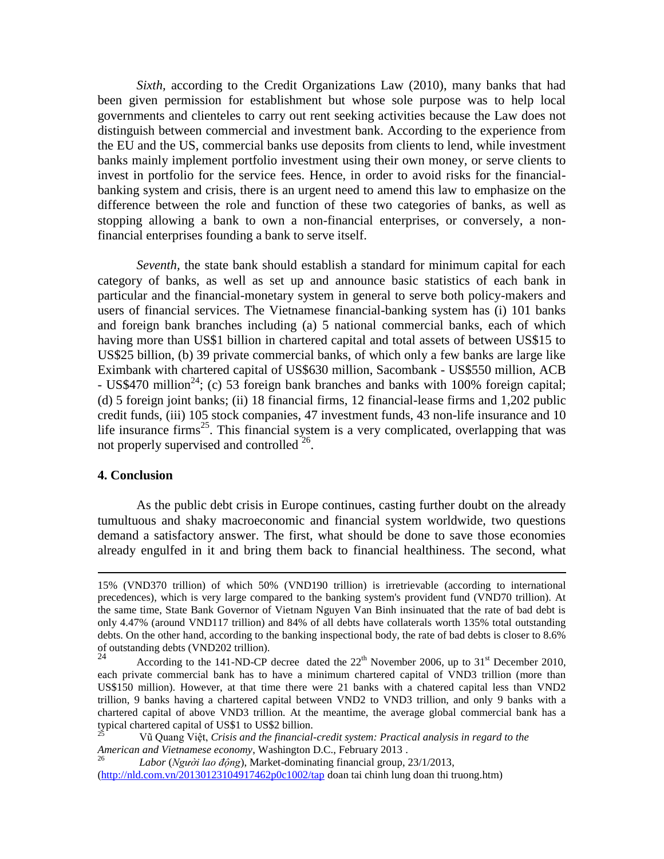*Sixth,* according to the Credit Organizations Law (2010), many banks that had been given permission for establishment but whose sole purpose was to help local governments and clienteles to carry out rent seeking activities because the Law does not distinguish between commercial and investment bank. According to the experience from the EU and the US, commercial banks use deposits from clients to lend, while investment banks mainly implement portfolio investment using their own money, or serve clients to invest in portfolio for the service fees. Hence, in order to avoid risks for the financialbanking system and crisis, there is an urgent need to amend this law to emphasize on the difference between the role and function of these two categories of banks, as well as stopping allowing a bank to own a non-financial enterprises, or conversely, a nonfinancial enterprises founding a bank to serve itself.

*Seventh,* the state bank should establish a standard for minimum capital for each category of banks, as well as set up and announce basic statistics of each bank in particular and the financial-monetary system in general to serve both policy-makers and users of financial services. The Vietnamese financial-banking system has (i) 101 banks and foreign bank branches including (a) 5 national commercial banks, each of which having more than US\$1 billion in chartered capital and total assets of between US\$15 to US\$25 billion, (b) 39 private commercial banks, of which only a few banks are large like Eximbank with chartered capital of US\$630 million, Sacombank - US\$550 million, ACB - US\$470 million<sup>24</sup>; (c) 53 foreign bank branches and banks with 100% foreign capital; (d) 5 foreign joint banks; (ii) 18 financial firms, 12 financial-lease firms and 1,202 public credit funds, (iii) 105 stock companies, 47 investment funds, 43 non-life insurance and 10 life insurance firms<sup>25</sup>. This financial system is a very complicated, overlapping that was not properly supervised and controlled<sup>26</sup>.

### **4. Conclusion**

 $\overline{a}$ 

As the public debt crisis in Europe continues, casting further doubt on the already tumultuous and shaky macroeconomic and financial system worldwide, two questions demand a satisfactory answer. The first, what should be done to save those economies already engulfed in it and bring them back to financial healthiness. The second, what

<sup>15% (</sup>VND370 trillion) of which 50% (VND190 trillion) is irretrievable (according to international precedences), which is very large compared to the banking system's provident fund (VND70 trillion). At the same time, State Bank Governor of Vietnam Nguyen Van Binh insinuated that the rate of bad debt is only 4.47% (around VND117 trillion) and 84% of all debts have collaterals worth 135% total outstanding debts. On the other hand, according to the banking inspectional body, the rate of bad debts is closer to 8.6% of outstanding debts (VND202 trillion).<br>24 Association to the 141 ND CB

According to the 141-ND-CP decree dated the  $22<sup>th</sup>$  November 2006, up to  $31<sup>st</sup>$  December 2010, each private commercial bank has to have a minimum chartered capital of VND3 trillion (more than US\$150 million). However, at that time there were 21 banks with a chatered capital less than VND2 trillion, 9 banks having a chartered capital between VND2 to VND3 trillion, and only 9 banks with a chartered capital of above VND3 trillion. At the meantime, the average global commercial bank has a typical chartered capital of US\$1 to US\$2 billion.

<sup>25</sup> Vũ Quang Việt, *Crisis and the financial-credit system: Practical analysis in regard to the American and Vietnamese economy*, Washington D.C., February 2013 .

<sup>26</sup> *Labor* (*Người lao động*), Market-dominating financial group, 23/1/2013, [\(http://nld.com.vn/20130123104917462p0c1002/tap](http://nld.com.vn/20130123104917462p0c1002/tap) doan tai chinh lung doan thi truong.htm)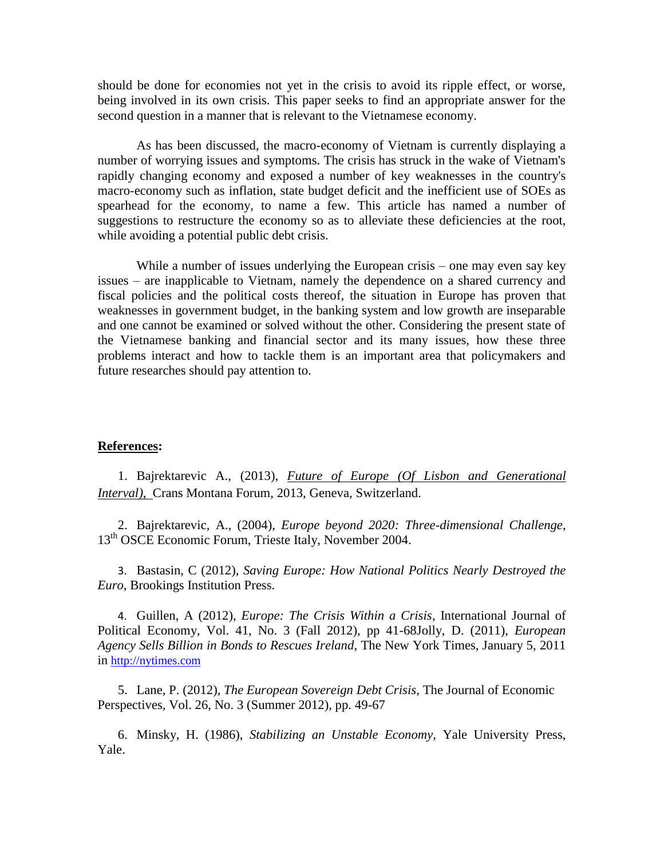should be done for economies not yet in the crisis to avoid its ripple effect, or worse, being involved in its own crisis. This paper seeks to find an appropriate answer for the second question in a manner that is relevant to the Vietnamese economy.

As has been discussed, the macro-economy of Vietnam is currently displaying a number of worrying issues and symptoms. The crisis has struck in the wake of Vietnam's rapidly changing economy and exposed a number of key weaknesses in the country's macro-economy such as inflation, state budget deficit and the inefficient use of SOEs as spearhead for the economy, to name a few. This article has named a number of suggestions to restructure the economy so as to alleviate these deficiencies at the root, while avoiding a potential public debt crisis.

While a number of issues underlying the European crisis – one may even say key issues – are inapplicable to Vietnam, namely the dependence on a shared currency and fiscal policies and the political costs thereof, the situation in Europe has proven that weaknesses in government budget, in the banking system and low growth are inseparable and one cannot be examined or solved without the other. Considering the present state of the Vietnamese banking and financial sector and its many issues, how these three problems interact and how to tackle them is an important area that policymakers and future researches should pay attention to.

### **References:**

1. Bajrektarevic A., (2013)*, Future of Europe (Of Lisbon and Generational Interval)*, Crans Montana Forum, 2013, Geneva, Switzerland.

2. Bajrektarevic, A., (2004), *Europe beyond 2020: Three-dimensional Challenge*, 13<sup>th</sup> OSCE Economic Forum, Trieste Italy, November 2004.

3. Bastasin, C (2012), *Saving Europe: How National Politics Nearly Destroyed the Euro*, Brookings Institution Press.

4. Guillen, A (2012), *Europe: The Crisis Within a Crisis*, International Journal of Political Economy, Vol. 41, No. 3 (Fall 2012), pp 41-68Jolly, D. (2011), *European Agency Sells Billion in Bonds to Rescues Ireland*, The New York Times, January 5, 2011 in [http://nytimes.com](http://nytimes.com/)

5. Lane, P. (2012), *The European Sovereign Debt Crisis*, The Journal of Economic Perspectives*,* Vol. 26, No. 3 (Summer 2012), pp. 49-67

6. Minsky, H. (1986), *Stabilizing an Unstable Economy,* Yale University Press, Yale.